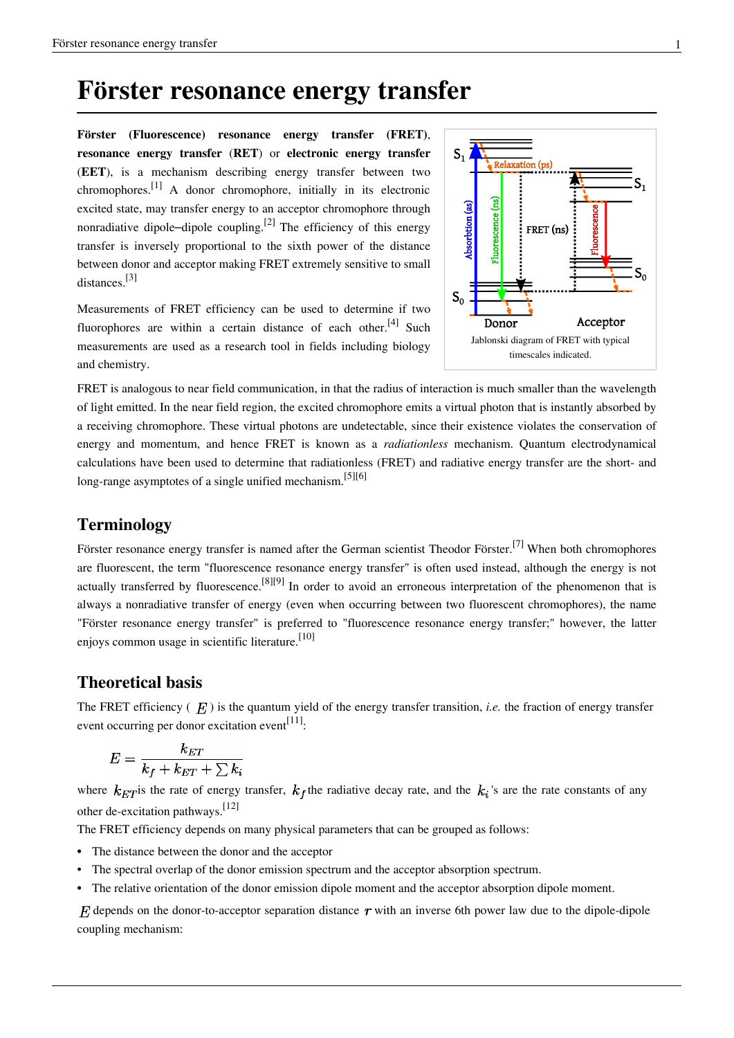## **Förster resonance energy transfer**

**Förster (Fluorescence) resonance energy transfer (FRET)**, **resonance energy transfer** (**RET**) or **electronic energy transfer** (**EET**), is a mechanism describing energy transfer between two [chromophore](http://en.wikipedia.org/w/index.php?title=Chromophore)s.<sup>[1]</sup> A donor chromophore, initially in its electronic excited state, may transfer energy to an acceptor chromophore through nonradiative dipole-[dipole coupling.](http://en.wikipedia.org/w/index.php?title=Dipole%E2%80%93dipole_coupling)<sup>[2]</sup> The efficiency of this energy transfer is inversely proportional to the sixth power of the distance between donor and acceptor making FRET extremely sensitive to small distances.[3]

Measurements of FRET efficiency can be used to determine if two fluorophores are within a certain distance of each other.<sup>[4]</sup> Such measurements are used as a research tool in fields including biology and chemistry.



FRET is analogous to [near field](http://en.wikipedia.org/w/index.php?title=Near_and_far_field) [communication](http://en.wikipedia.org/w/index.php?title=Near_Field_Communication), in that the radius of interaction is much smaller than the [wavelength](http://en.wikipedia.org/w/index.php?title=Light) of light emitted. In the [near field](http://en.wikipedia.org/w/index.php?title=Near_and_far_field) region, the excited chromophore emits a [virtual photon t](http://en.wikipedia.org/w/index.php?title=Virtual_photon)hat is instantly absorbed by a receiving chromophore. These virtual photons are undetectable, since their existence violates the conservation of energy and momentum, and hence FRET is known as a *radiationless* mechanism. [Quantum electrodynamical](http://en.wikipedia.org/w/index.php?title=Quantum_electrodynamics) calculations have been used to determine that radiationless (FRET) and [radiative energy transfer a](http://en.wikipedia.org/w/index.php?title=Radiative_transfer)re the short- and long-range [asymptotes](http://en.wikipedia.org/w/index.php?title=Asymptote) of a single unified mechanism.<sup>[5][6]</sup>

## **Terminology**

Förster resonance energy transfer is named after the German scientist [Theodor Förster](http://en.wikipedia.org/w/index.php?title=Theodor_F%C3%B6rster).<sup>[7]</sup> When both chromophores are fluorescent, the term "fluorescence resonance energy transfer" is often used instead, although the energy is not actually transferred by [fluorescence.](http://en.wikipedia.org/w/index.php?title=Fluorescence_in_the_life_sciences)<sup>[8][9]</sup> In order to avoid an erroneous interpretation of the phenomenon that is always a nonradiative transfer of energy (even when occurring between two fluorescent chromophores), the name "Förster resonance energy transfer" is preferred to "fluorescence resonance energy transfer;" however, the latter enjoys common usage in scientific literature.<sup>[10]</sup>

#### **Theoretical basis**

The FRET efficiency  $(E)$  is the [quantum yield o](http://en.wikipedia.org/w/index.php?title=Quantum_yield)f the energy transfer transition, *i.e.* the fraction of energy transfer event occurring per donor excitation event<sup>[11]</sup>:

$$
E = \frac{k_{ET}}{k_f + k_{ET} + \sum k_i}
$$

where  $k_{ET}$  is the rate of energy transfer,  $k_f$  the radiative decay rate, and the  $k_i$ 's are the rate constants of any other de-excitation pathways.[12]

The FRET efficiency depends on many physical parameters that can be grouped as follows:

- The distance between the donor and the acceptor
- The spectral overlap of the donor [emission spectrum](http://en.wikipedia.org/w/index.php?title=Emission_spectrum) and the acceptor [absorption spectrum.](http://en.wikipedia.org/w/index.php?title=Absorption_spectrum)
- The relative orientation of the donor emission dipole moment and the acceptor absorption dipole moment.

 $F<sub>i</sub>$  depends on the donor-to-acceptor separation distance  $r$  with an inverse 6th power law due to the dipole-dipole coupling mechanism: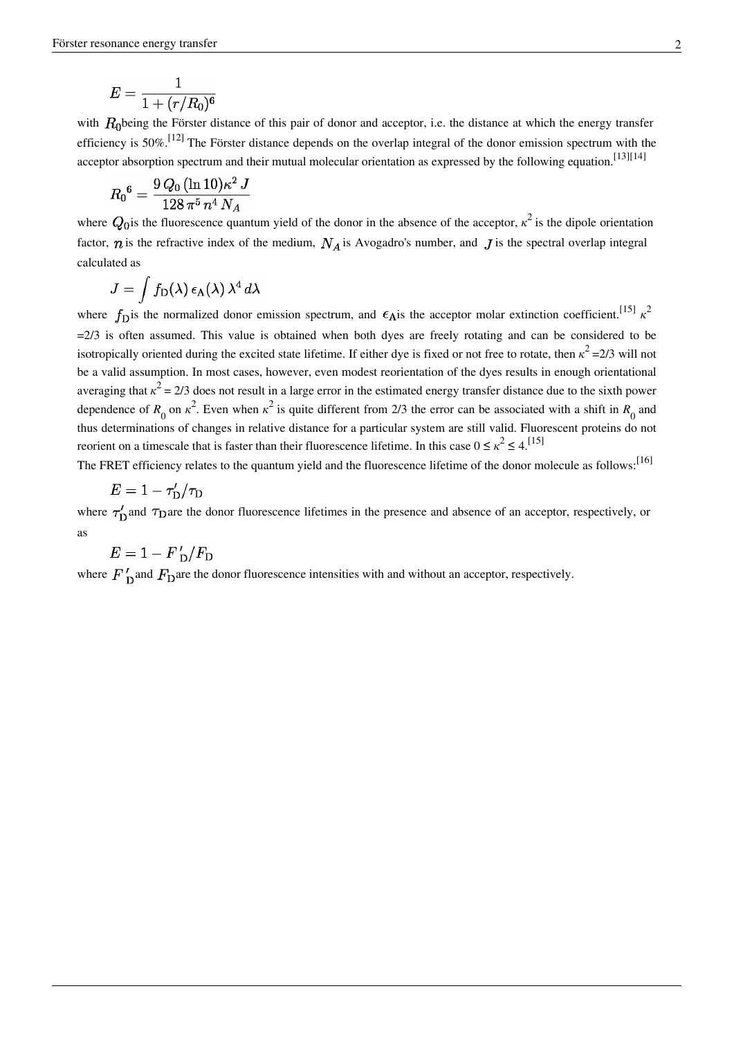$$
E=\frac{1}{1+(r/R_0)^6}
$$

with  $R_0$ being the Förster distance of this pair of donor and acceptor, i.e. the distance at which the energy transfer efficiency is 50%.<sup>[12]</sup> The Förster distance depends on the overlap [integral](http://en.wikipedia.org/w/index.php?title=Integral) of the donor emission spectrum with the acceptor absorption spectrum and their mutual molecular orientation as expressed by the following equation.<sup>[13][14]</sup>

$$
{R_0}^6 = \frac{9\,Q_0\,(\ln10)\kappa^2\,J}{128\,\pi^5\,n^4\,N_A}
$$

where  $Q_0$  is the fluorescence [quantum yield o](http://en.wikipedia.org/w/index.php?title=Quantum_yield)f the donor in the absence of the acceptor,  $\kappa^2$  is the dipole orientation factor,  $n$  is the [refractive index o](http://en.wikipedia.org/w/index.php?title=Refractive_index)f the medium,  $N_A$  is [Avogadro's number](http://en.wikipedia.org/w/index.php?title=Avogadro%27s_number), and  $J$  is the spectral overlap integral calculated as

$$
J = \int f_{\rm D}(\lambda) \,\epsilon_{\rm A}(\lambda) \,\lambda^4 \,d\lambda
$$

where  $f_{\rm D}$  is the normalized donor emission spectrum, and  $\epsilon_A$  is the acceptor [molar extinction coefficient](http://en.wikipedia.org/w/index.php?title=Molar_extinction_coefficient).<sup>[15]</sup>  $\kappa^2$  $=2/3$  is often assumed. This value is obtained when both dyes are freely rotating and can be considered to be isotropically oriented during the excited state lifetime. If either dye is fixed or not free to rotate, then *κ* <sup>2</sup>=2/3 will not be a valid assumption. In most cases, however, even modest reorientation of the dyes results in enough orientational averaging that  $\kappa^2 = 2/3$  does not result in a large error in the estimated energy transfer distance due to the sixth power dependence of  $R_0$  on  $\kappa^2$ . Even when  $\kappa^2$  is quite different from 2/3 the error can be associated with a shift in  $R_0$  and thus determinations of changes in relative distance for a particular system are still valid. Fluorescent proteins do not reorient on a timescale that is faster than their fluorescence lifetime. In this case  $0 \le \kappa^2 \le 4$ .<sup>[15]</sup>

The FRET efficiency relates to the quantum yield and the fluorescence lifetime of the donor molecule as follows:<sup>[16]</sup>

$$
E=1-\tau'_{\rm D}/\tau_{\rm I}
$$

where  $\tau'_{\rm D}$  and  $\tau_{\rm D}$  are the donor fluorescence lifetimes in the presence and absence of an acceptor, respectively, or as

$$
E=1-F'_\mathrm{\,D}/F_\mathrm{E}
$$

where  $F'_{\text{D}}$  and  $F_{\text{D}}$  are the donor fluorescence intensities with and without an acceptor, respectively.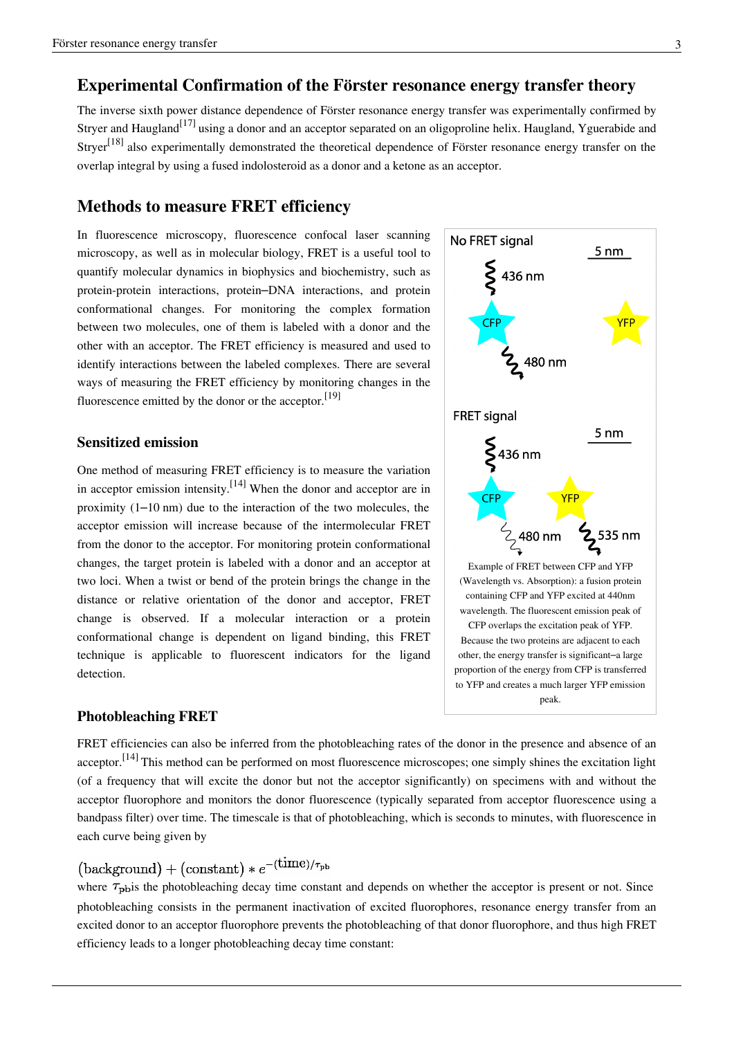## **Experimental Confirmation of the Förster resonance energy transfer theory**

The inverse sixth power distance dependence of Förster resonance energy transfer was experimentally confirmed by [Stryer a](http://en.wikipedia.org/w/index.php?title=Lubert_Stryer)nd [Haugland](http://en.wikipedia.org/w/index.php?title=Dick_Haugland)<sup>[17]</sup> using a donor and an acceptor separated on an oligoproline helix. Haugland, Yguerabide and Stryer<sup>[18]</sup> also experimentally demonstrated the theoretical dependence of Förster resonance energy transfer on the overlap integral by using a fused indolosteroid as a donor and a ketone as an acceptor.

### **Methods to measure FRET efficiency**

In fluorescence [microscopy](http://en.wikipedia.org/w/index.php?title=Microscopy), fluorescence [confocal laser scanning](http://en.wikipedia.org/w/index.php?title=Confocal_laser_scanning_microscopy) [microscopy](http://en.wikipedia.org/w/index.php?title=Confocal_laser_scanning_microscopy), as well as in [molecular biology,](http://en.wikipedia.org/w/index.php?title=Molecular_biology) FRET is a useful tool to quantify molecular dynamics in [biophysics a](http://en.wikipedia.org/w/index.php?title=Biophysics)nd [biochemistry,](http://en.wikipedia.org/w/index.php?title=Biochemistry) such as [protein](http://en.wikipedia.org/w/index.php?title=Protein)-protein interactions, protein–[DNA](http://en.wikipedia.org/w/index.php?title=DNA) interactions, and protein conformational changes. For monitoring the complex formation between two molecules, one of them is labeled with a donor and the other with an acceptor. The FRET efficiency is measured and used to identify interactions between the labeled complexes. There are several ways of measuring the FRET efficiency by monitoring changes in the fluorescence emitted by the donor or the acceptor.<sup>[19]</sup>

#### **Sensitized emission**

One method of measuring FRET efficiency is to measure the variation in acceptor emission intensity.<sup>[14]</sup> When the donor and acceptor are in proximity  $(1-10 \text{ nm})$  due to the interaction of the two molecules, the acceptor emission will increase because of the [intermolecular F](http://en.wikipedia.org/w/index.php?title=Intermolecular)RET from the donor to the acceptor. For monitoring protein conformational changes, the target protein is labeled with a donor and an acceptor at two loci. When a twist or bend of the protein brings the change in the distance or relative orientation of the donor and acceptor, FRET change is observed. If a molecular interaction or a protein conformational change is dependent on [ligand b](http://en.wikipedia.org/w/index.php?title=Ligand)inding, this FRET technique is applicable to fluorescent indicators for the ligand detection.



FRET efficiencies can also be inferred from the [photobleaching r](http://en.wikipedia.org/w/index.php?title=Photobleaching)ates of the donor in the presence and absence of an acceptor.<sup>[14]</sup> This method can be performed on most fluorescence microscopes; one simply shines the excitation light (of a frequency that will excite the donor but not the acceptor significantly) on specimens with and without the acceptor fluorophore and monitors the donor fluorescence (typically separated from acceptor fluorescence using a bandpass filter) over time. The timescale is that of photobleaching, which is seconds to minutes, with fluorescence in each curve being given by

## $\left( \text{background}\right) +\left( \text{constant}\right) \ast e^{-\left( \text{time}\right) /\tau _{\text{pb}} }$

where  $\tau_{\text{pbis}}$  the photobleaching decay time constant and depends on whether the acceptor is present or not. Since photobleaching consists in the permanent inactivation of excited fluorophores, resonance energy transfer from an excited donor to an acceptor fluorophore prevents the photobleaching of that donor fluorophore, and thus high FRET efficiency leads to a longer photobleaching decay time constant:

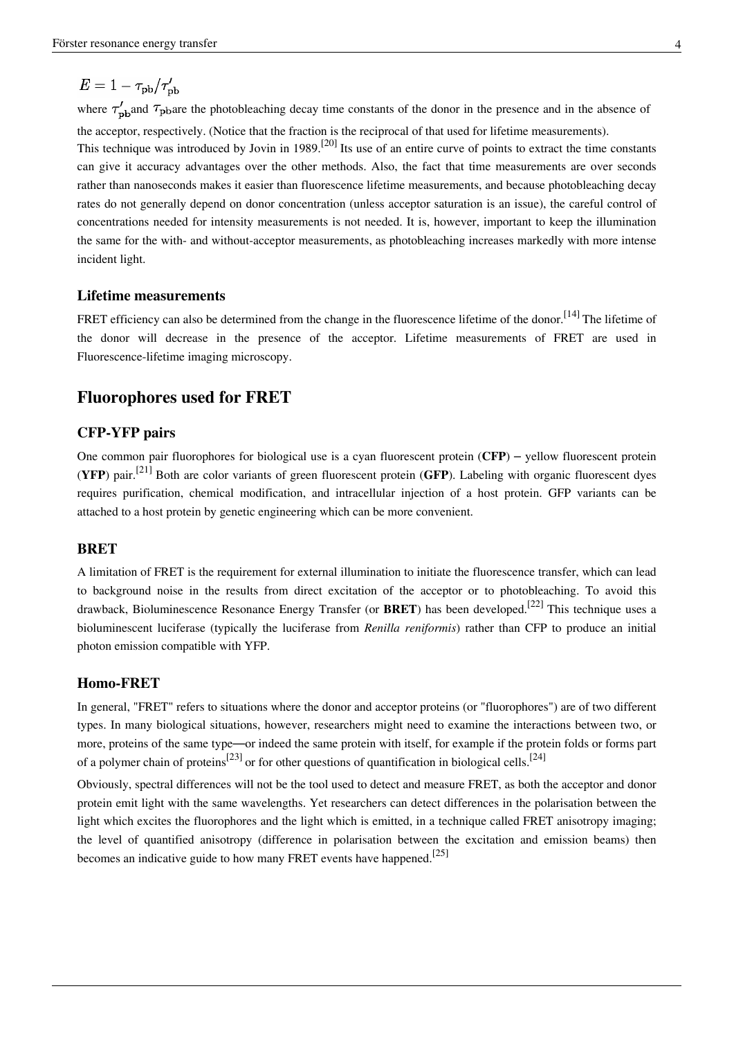## $E = 1 - \tau_{\text{pb}}/\tau_{\text{pb}}'$

where  $\tau_{\text{ph}}'$  and  $\tau_{\text{ph}}$  are the photobleaching decay time constants of the donor in the presence and in the absence of the acceptor, respectively. (Notice that the fraction is the reciprocal of that used for lifetime measurements). This technique was introduced by Jovin in 1989.<sup>[20]</sup> Its use of an entire curve of points to extract the time constants can give it accuracy advantages over the other methods. Also, the fact that time measurements are over seconds rather than nanoseconds makes it easier than fluorescence lifetime measurements, and because photobleaching decay rates do not generally depend on donor concentration (unless acceptor saturation is an issue), the careful control of concentrations needed for intensity measurements is not needed. It is, however, important to keep the illumination the same for the with- and without-acceptor measurements, as photobleaching increases markedly with more intense incident light.

### **Lifetime measurements**

FRET efficiency can also be determined from the change in the fluorescence [lifetime o](http://en.wikipedia.org/w/index.php?title=Fluorescence%23Lifetime)f the donor.<sup>[14]</sup> The lifetime of the donor will decrease in the presence of the acceptor. Lifetime measurements of FRET are used in [Fluorescence-lifetime imaging microscopy](http://en.wikipedia.org/w/index.php?title=Fluorescence-lifetime_imaging_microscopy).

### **Fluorophores used for FRET**

#### **CFP-YFP pairs**

One common pair fluorophores for biological use is a [cyan fluorescent protein \(](http://en.wikipedia.org/w/index.php?title=Cyan_fluorescent_protein)**CFP**) – [yellow fluorescent protein](http://en.wikipedia.org/w/index.php?title=Yellow_fluorescent_protein) (**YFP**) pair.[21] Both are color variants of [green fluorescent protein \(](http://en.wikipedia.org/w/index.php?title=Green_fluorescent_protein)**GFP**). Labeling with organic fluorescent dyes requires purification, chemical modification, and intracellular injection of a host protein. GFP variants can be attached to a host protein by [genetic engineering](http://en.wikipedia.org/w/index.php?title=Genetic_engineering) which can be more convenient.

#### **BRET**

A limitation of FRET is the requirement for external illumination to initiate the fluorescence transfer, which can lead to background noise in the results from direct excitation of the acceptor or to [photobleaching.](http://en.wikipedia.org/w/index.php?title=Photobleaching) To avoid this drawback, [Bioluminescence R](http://en.wikipedia.org/w/index.php?title=Bioluminescence)esonance Energy Transfer (or **BRET**) has been developed.[22] This technique uses a bioluminescent [luciferase \(](http://en.wikipedia.org/w/index.php?title=Luciferase)typically the luciferase from *[Renilla reniformis](http://en.wikipedia.org/w/index.php?title=Renilla_reniformis)*) rather than CFP to produce an initial photon emission compatible with YFP.

#### **Homo-FRET**

In general, "FRET" refers to situations where the donor and acceptor proteins (or "fluorophores") are of two different types. In many biological situations, however, researchers might need to examine the interactions between two, or more, proteins of the same type—or indeed the same protein with itself, for example if the protein folds or forms part of a polymer chain of proteins<sup>[23]</sup> or for other questions of quantification in biological cells.<sup>[24]</sup>

Obviously, spectral differences will not be the tool used to detect and measure FRET, as both the acceptor and donor protein emit light with the same wavelengths. Yet researchers can detect differences in the polarisation between the light which excites the fluorophores and the light which is emitted, in a technique called FRET anisotropy imaging; the level of quantified anisotropy (difference in polarisation between the excitation and emission beams) then becomes an indicative guide to how many FRET events have happened.<sup>[25]</sup>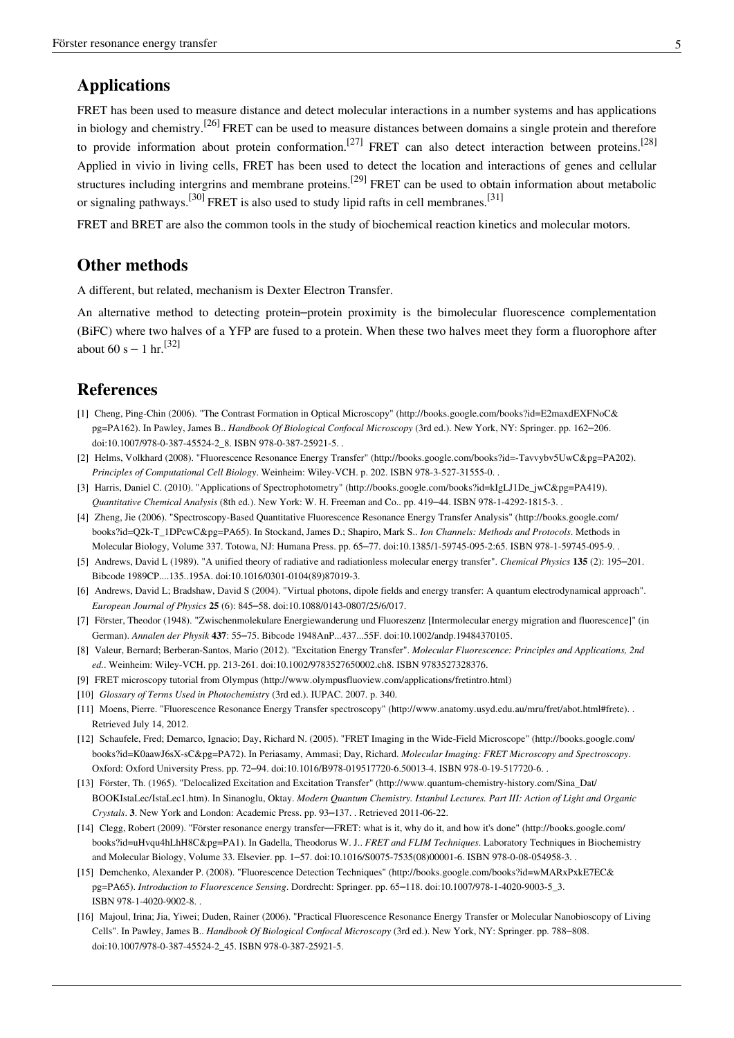## **Applications**

FRET has been used to measure distance and detect molecular interactions in a number systems and has applications in biology and chemistry.<sup>[26]</sup> FRET can be used to measure distances between domains a single protein and therefore to provide information about protein conformation.<sup>[27]</sup> FRET can also detect interaction between proteins.<sup>[28]</sup> Applied in vivio in living cells, FRET has been used to detect the location and interactions of genes and cellular structures including intergrins and membrane proteins.<sup>[29]</sup> FRET can be used to obtain information about metabolic or signaling pathways.<sup>[30]</sup> FRET is also used to study [lipid rafts](http://en.wikipedia.org/w/index.php?title=Lipid_rafts) in [cell membranes.](http://en.wikipedia.org/w/index.php?title=Cell_membranes)<sup>[31]</sup>

FRET and BRET are also the common tools in the study of [biochemical reaction kinetics a](http://en.wikipedia.org/w/index.php?title=Enzyme_kinetics)nd [molecular motors](http://en.wikipedia.org/w/index.php?title=Molecular_motors).

## **Other methods**

A different, but related, mechanism is [Dexter Electron Transfer.](http://en.wikipedia.org/w/index.php?title=Dexter_Electron_Transfer)

An alternative method to detecting protein–protein proximity is the [bimolecular fluorescence complementation](http://en.wikipedia.org/w/index.php?title=Bimolecular_fluorescence_complementation) (BiFC) where two halves of a YFP are fused to a protein. When these two halves meet they form a fluorophore after about 60 s – 1 hr.<sup>[32]</sup>

### **References**

- [1] Cheng, Ping-Chin (2006). "The Contrast Formation in Optical Microscopy" [\(http://books.google.com/books?id=E2maxdEXFNoC&](http://books.google.com/books?id=E2maxdEXFNoC&pg=PA162) [pg=PA162\)](http://books.google.com/books?id=E2maxdEXFNoC&pg=PA162). In Pawley, James B.. *Handbook Of Biological Confocal Microscopy* (3rd ed.). New York, NY: Springer. pp. 162–206. doi:10.1007/978-0-387-45524-2\_8. ISBN 978-0-387-25921-5. .
- [2] Helms, Volkhard (2008). "Fluorescence Resonance Energy Transfer" [\(http://books.google.com/books?id=-Tavvybv5UwC&pg=PA202\)](http://books.google.com/books?id=-Tavvybv5UwC&pg=PA202). *Principles of Computational Cell Biology*. Weinheim: Wiley-VCH. p. 202. ISBN 978-3-527-31555-0. .
- [3] Harris, Daniel C. (2010). "Applications of Spectrophotometry" [\(http://books.google.com/books?id=kIgLJ1De\\_jwC&pg=PA419\).](http://books.google.com/books?id=kIgLJ1De_jwC&pg=PA419) *Quantitative Chemical Analysis* (8th ed.). New York: W. H. Freeman and Co.. pp. 419–44. ISBN 978-1-4292-1815-3. .
- [4] Zheng, Jie (2006). "Spectroscopy-Based Quantitative Fluorescence Resonance Energy Transfer Analysis" [\(http://books.google.com/](http://books.google.com/books?id=Q2k-T_1DPcwC&pg=PA65) [books?id=Q2k-T\\_1DPcwC&pg=PA65\)](http://books.google.com/books?id=Q2k-T_1DPcwC&pg=PA65). In Stockand, James D.; Shapiro, Mark S.. *Ion Channels: Methods and Protocols*. Methods in Molecular Biology, Volume 337. Totowa, NJ: Humana Press. pp. 65–77. doi:10.1385/1-59745-095-2:65. ISBN 978-1-59745-095-9. .
- [5] Andrews, David L (1989). "A unified theory of radiative and radiationless molecular energy transfer". *Chemical Physics* **135** (2): 195–201. Bibcode 1989CP....135..195A. doi:10.1016/0301-0104(89)87019-3.
- [6] Andrews, David L; Bradshaw, David S (2004). "Virtual photons, dipole fields and energy transfer: A quantum electrodynamical approach". *European Journal of Physics* **25** (6): 845–58. doi:10.1088/0143-0807/25/6/017.
- [7] Förster, Theodor (1948). "Zwischenmolekulare Energiewanderung und Fluoreszenz [Intermolecular energy migration and fluorescence]" (in German). *Annalen der Physik* **437**: 55–75. Bibcode 1948AnP...437...55F. doi:10.1002/andp.19484370105.
- [8] Valeur, Bernard; Berberan-Santos, Mario (2012). "Excitation Energy Transfer". *Molecular Fluorescence: Principles and Applications, 2nd ed.*. Weinheim: Wiley-VCH. pp. 213-261. doi:10.1002/9783527650002.ch8. ISBN 9783527328376.
- [9] FRET microscopy tutorial from Olympus [\(http://www.olympusfluoview.com/applications/fretintro.html\)](http://www.olympusfluoview.com/applications/fretintro.html)
- [10] *Glossary of Terms Used in Photochemistry* (3rd ed.). IUPAC. 2007. p. 340.
- [11] Moens, Pierre. "Fluorescence Resonance Energy Transfer spectroscopy" [\(http://www.anatomy.usyd.edu.au/mru/fret/abot.html#frete\).](http://www.anatomy.usyd.edu.au/mru/fret/abot.html#frete) . Retrieved July 14, 2012.
- [12] Schaufele, Fred; Demarco, Ignacio; Day, Richard N. (2005). "FRET Imaging in the Wide-Field Microscope" [\(http://books.google.com/](http://books.google.com/books?id=K0aawJ6sX-sC&pg=PA72) [books?id=K0aawJ6sX-sC&pg=PA72\).](http://books.google.com/books?id=K0aawJ6sX-sC&pg=PA72) In Periasamy, Ammasi; Day, Richard. *Molecular Imaging: FRET Microscopy and Spectroscopy*. Oxford: Oxford University Press. pp. 72–94. doi:10.1016/B978-019517720-6.50013-4. ISBN 978-0-19-517720-6. .
- [13] Förster, Th. (1965). "Delocalized Excitation and Excitation Transfer" [\(http://www.quantum-chemistry-history.com/Sina\\_Dat/](http://www.quantum-chemistry-history.com/Sina_Dat/BOOKIstaLec/IstaLec1.htm) [BOOKIstaLec/IstaLec1.htm\)](http://www.quantum-chemistry-history.com/Sina_Dat/BOOKIstaLec/IstaLec1.htm). In Sinanoglu, Oktay. *Modern Quantum Chemistry. Istanbul Lectures. Part III: Action of Light and Organic Crystals*. **3**. New York and London: Academic Press. pp. 93–137. . Retrieved 2011-06-22.
- [14] Clegg, Robert (2009). "Förster resonance energy transfer—FRET: what is it, why do it, and how it's done" [\(http://books.google.com/](http://books.google.com/books?id=uHvqu4hLhH8C&pg=PA1) [books?id=uHvqu4hLhH8C&pg=PA1\).](http://books.google.com/books?id=uHvqu4hLhH8C&pg=PA1) In Gadella, Theodorus W. J.. *FRET and FLIM Techniques*. Laboratory Techniques in Biochemistry and Molecular Biology, Volume 33. Elsevier. pp. 1–57. doi:10.1016/S0075-7535(08)00001-6. ISBN 978-0-08-054958-3. .
- [15] Demchenko, Alexander P. (2008). "Fluorescence Detection Techniques" [\(http://books.google.com/books?id=wMARxPxkE7EC&](http://books.google.com/books?id=wMARxPxkE7EC&pg=PA65) [pg=PA65\)](http://books.google.com/books?id=wMARxPxkE7EC&pg=PA65). *Introduction to Fluorescence Sensing*. Dordrecht: Springer. pp. 65–118. doi:10.1007/978-1-4020-9003-5\_3. ISBN 978-1-4020-9002-8. .
- [16] Majoul, Irina; Jia, Yiwei; Duden, Rainer (2006). "Practical Fluorescence Resonance Energy Transfer or Molecular Nanobioscopy of Living Cells". In Pawley, James B.. *Handbook Of Biological Confocal Microscopy* (3rd ed.). New York, NY: Springer. pp. 788–808. doi:10.1007/978-0-387-45524-2\_45. ISBN 978-0-387-25921-5.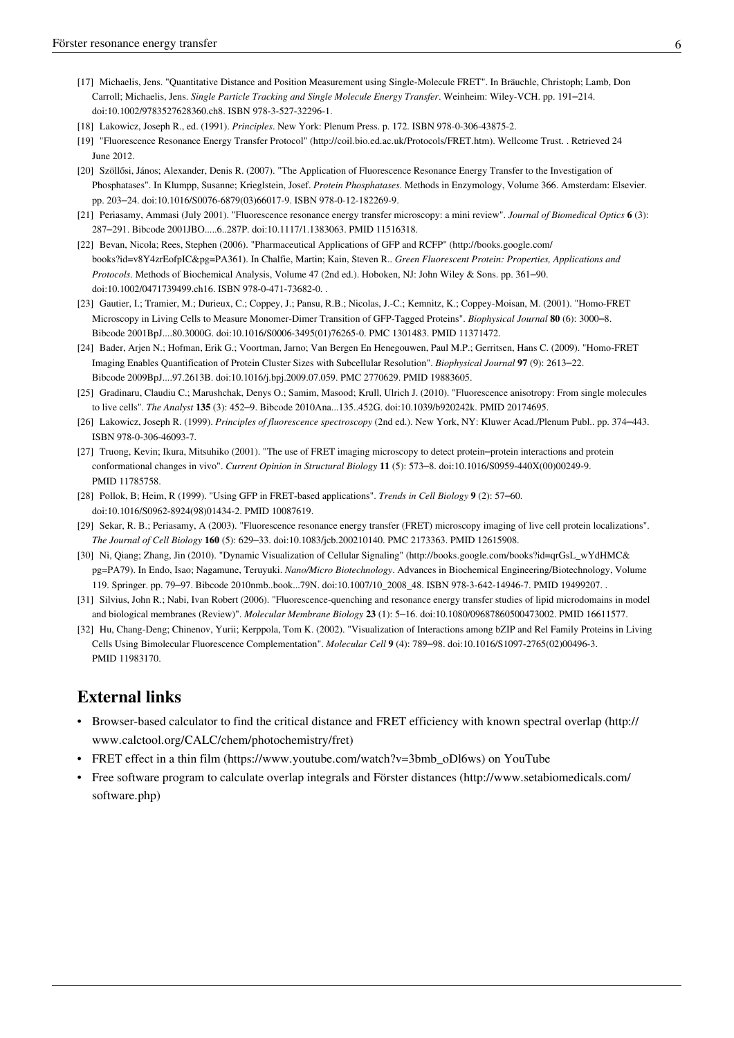- [17] Michaelis, Jens. "Quantitative Distance and Position Measurement using Single-Molecule FRET". In Bräuchle, Christoph; Lamb, Don Carroll; Michaelis, Jens. *Single Particle Tracking and Single Molecule Energy Transfer*. Weinheim: Wiley-VCH. pp. 191–214. doi:10.1002/9783527628360.ch8. ISBN 978-3-527-32296-1.
- [18] Lakowicz, Joseph R., ed. (1991). *Principles*. New York: Plenum Press. p. 172. ISBN 978-0-306-43875-2.
- [19] "Fluorescence Resonance Energy Transfer Protocol" [\(http://coil.bio.ed.ac.uk/Protocols/FRET.htm\).](http://coil.bio.ed.ac.uk/Protocols/FRET.htm) Wellcome Trust. . Retrieved 24 June 2012.
- [20] Szöllősi, János; Alexander, Denis R. (2007). "The Application of Fluorescence Resonance Energy Transfer to the Investigation of Phosphatases". In Klumpp, Susanne; Krieglstein, Josef. *Protein Phosphatases*. Methods in Enzymology, Volume 366. Amsterdam: Elsevier. pp. 203–24. doi:10.1016/S0076-6879(03)66017-9. ISBN 978-0-12-182269-9.
- [21] Periasamy, Ammasi (July 2001). "Fluorescence resonance energy transfer microscopy: a mini review". *Journal of Biomedical Optics* **6** (3): 287–291. Bibcode 2001JBO.....6..287P. doi:10.1117/1.1383063. PMID 11516318.
- [22] Bevan, Nicola; Rees, Stephen (2006). "Pharmaceutical Applications of GFP and RCFP" [\(http://books.google.com/](http://books.google.com/books?id=v8Y4zrEofpIC&pg=PA361) [books?id=v8Y4zrEofpIC&pg=PA361\).](http://books.google.com/books?id=v8Y4zrEofpIC&pg=PA361) In Chalfie, Martin; Kain, Steven R.. *Green Fluorescent Protein: Properties, Applications and Protocols*. Methods of Biochemical Analysis, Volume 47 (2nd ed.). Hoboken, NJ: John Wiley & Sons. pp. 361–90. doi:10.1002/0471739499.ch16. ISBN 978-0-471-73682-0. .
- [23] Gautier, I.; Tramier, M.; Durieux, C.; Coppey, J.; Pansu, R.B.; Nicolas, J.-C.; Kemnitz, K.; Coppey-Moisan, M. (2001). "Homo-FRET Microscopy in Living Cells to Measure Monomer-Dimer Transition of GFP-Tagged Proteins". *Biophysical Journal* **80** (6): 3000–8. Bibcode 2001BpJ....80.3000G. doi:10.1016/S0006-3495(01)76265-0. PMC 1301483. PMID 11371472.
- [24] Bader, Arjen N.; Hofman, Erik G.; Voortman, Jarno; Van Bergen En Henegouwen, Paul M.P.; Gerritsen, Hans C. (2009). "Homo-FRET Imaging Enables Quantification of Protein Cluster Sizes with Subcellular Resolution". *Biophysical Journal* **97** (9): 2613–22. Bibcode 2009BpJ....97.2613B. doi:10.1016/j.bpj.2009.07.059. PMC 2770629. PMID 19883605.
- [25] Gradinaru, Claudiu C.; Marushchak, Denys O.; Samim, Masood; Krull, Ulrich J. (2010). "Fluorescence anisotropy: From single molecules to live cells". *The Analyst* **135** (3): 452–9. Bibcode 2010Ana...135..452G. doi:10.1039/b920242k. PMID 20174695.
- [26] Lakowicz, Joseph R. (1999). *Principles of fluorescence spectroscopy* (2nd ed.). New York, NY: Kluwer Acad./Plenum Publ.. pp. 374–443. ISBN 978-0-306-46093-7.
- [27] Truong, Kevin; Ikura, Mitsuhiko (2001). "The use of FRET imaging microscopy to detect protein–protein interactions and protein conformational changes in vivo". *Current Opinion in Structural Biology* **11** (5): 573–8. doi:10.1016/S0959-440X(00)00249-9. PMID 11785758.
- [28] Pollok, B; Heim, R (1999). "Using GFP in FRET-based applications". *Trends in Cell Biology* **9** (2): 57–60. doi:10.1016/S0962-8924(98)01434-2. PMID 10087619.
- [29] Sekar, R. B.; Periasamy, A (2003). "Fluorescence resonance energy transfer (FRET) microscopy imaging of live cell protein localizations". *The Journal of Cell Biology* **160** (5): 629–33. doi:10.1083/jcb.200210140. PMC 2173363. PMID 12615908.
- [30] Ni, Qiang; Zhang, Jin (2010). "Dynamic Visualization of Cellular Signaling" [\(http://books.google.com/books?id=qrGsL\\_wYdHMC&](http://books.google.com/books?id=qrGsL_wYdHMC&pg=PA79) [pg=PA79\)](http://books.google.com/books?id=qrGsL_wYdHMC&pg=PA79). In Endo, Isao; Nagamune, Teruyuki. *Nano/Micro Biotechnology*. Advances in Biochemical Engineering/Biotechnology, Volume 119. Springer. pp. 79–97. Bibcode 2010nmb..book...79N. doi:10.1007/10\_2008\_48. ISBN 978-3-642-14946-7. PMID 19499207. .
- [31] Silvius, John R.; Nabi, Ivan Robert (2006). "Fluorescence-quenching and resonance energy transfer studies of lipid microdomains in model and biological membranes (Review)". *Molecular Membrane Biology* **23** (1): 5–16. doi:10.1080/09687860500473002. PMID 16611577.
- [32] Hu, Chang-Deng; Chinenov, Yurii; Kerppola, Tom K. (2002). "Visualization of Interactions among bZIP and Rel Family Proteins in Living Cells Using Bimolecular Fluorescence Complementation". *Molecular Cell* **9** (4): 789–98. doi:10.1016/S1097-2765(02)00496-3. PMID 11983170.

## **External links**

- Browser-based calculator to find the critical distance and FRET efficiency with known spectral overlap [\(http://](http://www.calctool.org/CALC/chem/photochemistry/fret) [www.calctool.org/CALC/chem/photochemistry/fret\)](http://www.calctool.org/CALC/chem/photochemistry/fret)
- FRET effect in a thin film [\(https://www.youtube.com/watch?v=3bmb\\_oDl6ws\)](https://www.youtube.com/watch?v=3bmb_oDl6ws) on [YouTube](http://en.wikipedia.org/w/index.php?title=YouTube)
- Free software program to calculate overlap integrals and Förster distances [\(http://www.setabiomedicals.com/](http://www.setabiomedicals.com/software.php) [software.php\)](http://www.setabiomedicals.com/software.php)